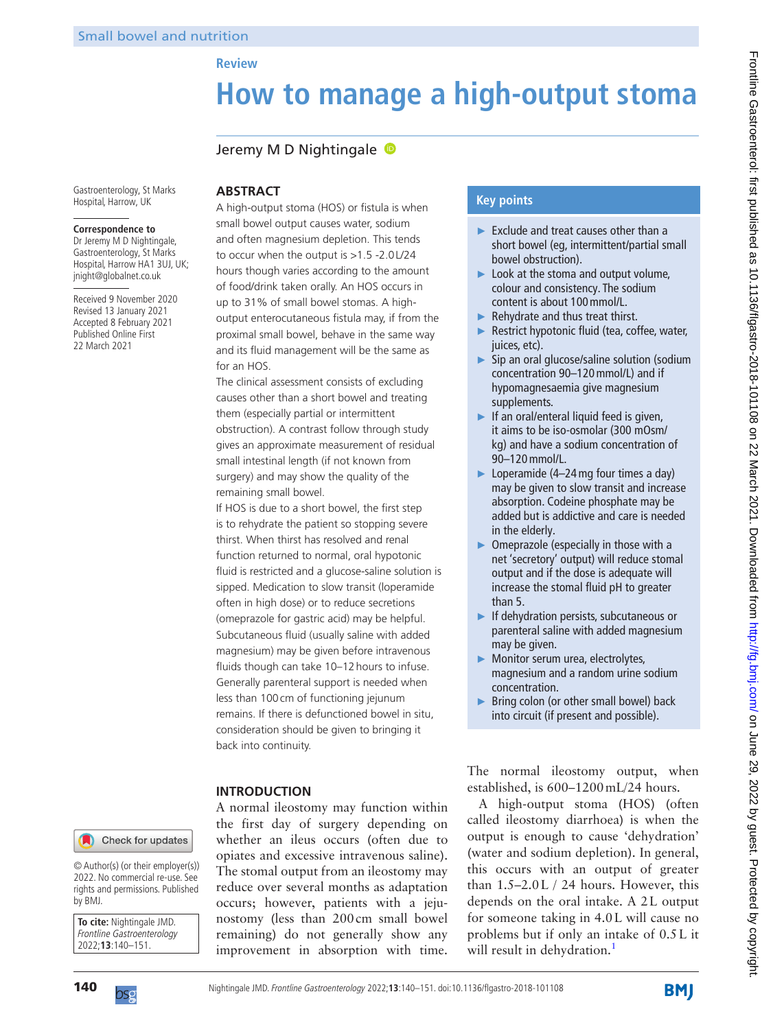# **How to manage a high-output stoma**

## Jeremy M D Nightingale

Gastroenterology, St Marks Hospital, Harrow, UK

#### **Correspondence to**

Dr Jeremy M D Nightingale, Gastroenterology, St Marks Hospital, Harrow HA1 3UJ, UK; jnight@globalnet.co.uk

Received 9 November 2020 Revised 13 January 2021 Accepted 8 February 2021 Published Online First 22 March 2021

# **ABSTRACT**

**Review**

A high-output stoma (HOS) or fistula is when small bowel output causes water, sodium and often magnesium depletion. This tends to occur when the output is >1.5 -2.0L/24 hours though varies according to the amount of food/drink taken orally. An HOS occurs in up to 31% of small bowel stomas. A highoutput enterocutaneous fistula may, if from the proximal small bowel, behave in the same way and its fluid management will be the same as for an HOS.

The clinical assessment consists of excluding causes other than a short bowel and treating them (especially partial or intermittent obstruction). A contrast follow through study gives an approximate measurement of residual small intestinal length (if not known from surgery) and may show the quality of the remaining small bowel.

If HOS is due to a short bowel, the first step is to rehydrate the patient so stopping severe thirst. When thirst has resolved and renal function returned to normal, oral hypotonic fluid is restricted and a glucose-saline solution is sipped. Medication to slow transit (loperamide often in high dose) or to reduce secretions (omeprazole for gastric acid) may be helpful. Subcutaneous fluid (usually saline with added magnesium) may be given before intravenous fluids though can take 10-12 hours to infuse. Generally parenteral support is needed when less than 100cm of functioning jejunum remains. If there is defunctioned bowel in situ, consideration should be given to bringing it back into continuity.

## **INTRODUCTION**

A normal ileostomy may function within the first day of surgery depending on whether an ileus occurs (often due to opiates and excessive intravenous saline). The stomal output from an ileostomy may reduce over several months as adaptation occurs; however, patients with a jejunostomy (less than 200cm small bowel remaining) do not generally show any improvement in absorption with time.

## **Key points**

- ► Exclude and treat causes other than a short bowel (eg, intermittent/partial small bowel obstruction).
- ► Look at the stoma and output volume, colour and consistency. The sodium content is about 100mmol/L.
- $\blacktriangleright$  Rehydrate and thus treat thirst.
- ► Restrict hypotonic fluid (tea, coffee, water, juices, etc).
- ► Sip an oral glucose/saline solution (sodium concentration 90–120mmol/L) and if hypomagnesaemia give magnesium supplements.
- ► If an oral/enteral liquid feed is given, it aims to be iso-osmolar (300 mOsm/ kg) and have a sodium concentration of 90–120mmol/L.
- ► Loperamide (4–24 mg four times a day) may be given to slow transit and increase absorption. Codeine phosphate may be added but is addictive and care is needed in the elderly.
- ► Omeprazole (especially in those with a net 'secretory' output) will reduce stomal output and if the dose is adequate will increase the stomal fluid pH to greater than 5.
- ► If dehydration persists, subcutaneous or parenteral saline with added magnesium may be given.
- ► Monitor serum urea, electrolytes, magnesium and a random urine sodium concentration.
- ► Bring colon (or other small bowel) back into circuit (if present and possible).

The normal ileostomy output, when established, is 600–1200mL/24 hours.

A high-output stoma (HOS) (often called ileostomy diarrhoea) is when the output is enough to cause 'dehydration' (water and sodium depletion). In general, this occurs with an output of greater than 1.5–2.0L / 24 hours. However, this depends on the oral intake. A 2L output for someone taking in 4.0L will cause no problems but if only an intake of 0.5L it will result in dehydration.<sup>1</sup>

Check for updates

© Author(s) (or their employer(s)) 2022. No commercial re-use. See rights and permissions. Published by BMJ.

**To cite:** Nightingale JMD. Frontline Gastroenterology 2022;**13**:140–151.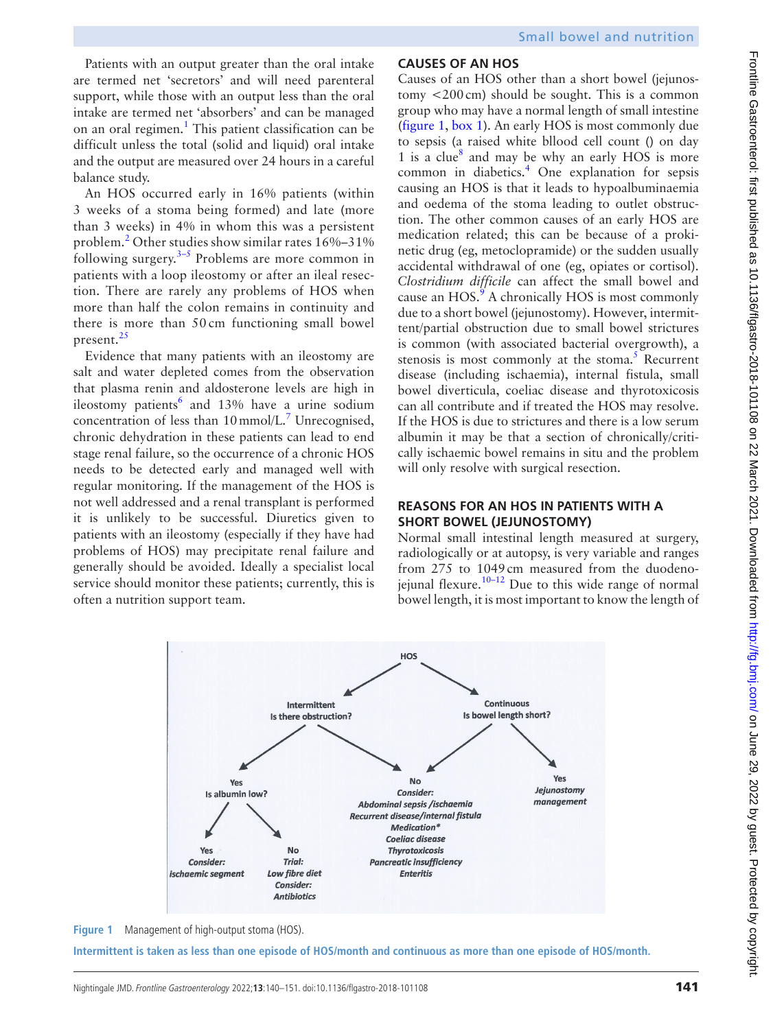Patients with an output greater than the oral intake are termed net 'secretors' and will need parenteral support, while those with an output less than the oral intake are termed net 'absorbers' and can be managed on an oral regimen.<sup>[1](#page-9-0)</sup> This patient classification can be difficult unless the total (solid and liquid) oral intake and the output are measured over 24 hours in a careful balance study.

An HOS occurred early in 16% patients (within 3 weeks of a stoma being formed) and late (more than 3 weeks) in 4% in whom this was a persistent problem.<sup>[2](#page-9-1)</sup> Other studies show similar rates 16%-31% following surgery. $3-5$  Problems are more common in patients with a loop ileostomy or after an ileal resection. There are rarely any problems of HOS when more than half the colon remains in continuity and there is more than 50 cm functioning small bowel present. $^{25}$  $^{25}$  $^{25}$ 

Evidence that many patients with an ileostomy are salt and water depleted comes from the observation that plasma renin and aldosterone levels are high in ileostomy patients<sup>6</sup> and 13% have a urine sodium concentration of less than  $10 \text{mmol/L}$ .<sup>[7](#page-9-5)</sup> Unrecognised, chronic dehydration in these patients can lead to end stage renal failure, so the occurrence of a chronic HOS needs to be detected early and managed well with regular monitoring. If the management of the HOS is not well addressed and a renal transplant is performed it is unlikely to be successful. Diuretics given to patients with an ileostomy (especially if they have had problems of HOS) may precipitate renal failure and generally should be avoided. Ideally a specialist local service should monitor these patients; currently, this is often a nutrition support team.

# **CAUSES OF AN HOS**

Causes of an HOS other than a short bowel (jejunostomy <200cm) should be sought. This is a common group who may have a normal length of small intestine [\(figure](#page-1-0) 1, [box](#page-2-0) 1). An early HOS is most commonly due to sepsis (a raised white bllood cell count () on day 1 is a clue<sup>[8](#page-9-6)</sup> and may be why an early HOS is more common in diabetics.<sup>[4](#page-9-7)</sup> One explanation for sepsis causing an HOS is that it leads to hypoalbuminaemia and oedema of the stoma leading to outlet obstruction. The other common causes of an early HOS are medication related; this can be because of a prokinetic drug (eg, metoclopramide) or the sudden usually accidental withdrawal of one (eg, opiates or cortisol). *Clostridium difficile* can affect the small bowel and cause an  $HOS.<sup>9</sup>$  $HOS.<sup>9</sup>$  $HOS.<sup>9</sup>$  A chronically HOS is most commonly due to a short bowel (jejunostomy). However, intermittent/partial obstruction due to small bowel strictures is common (with associated bacterial overgrowth), a stenosis is most commonly at the stoma. $5$  Recurrent disease (including ischaemia), internal fistula, small bowel diverticula, coeliac disease and thyrotoxicosis can all contribute and if treated the HOS may resolve. If the HOS is due to strictures and there is a low serum albumin it may be that a section of chronically/critically ischaemic bowel remains in situ and the problem will only resolve with surgical resection.

## **REASONS FOR AN HOS IN PATIENTS WITH A SHORT BOWEL (JEJUNOSTOMY)**

Normal small intestinal length measured at surgery, radiologically or at autopsy, is very variable and ranges from 275 to 1049cm measured from the duodenojejunal flexure.<sup>10–12</sup> Due to this wide range of normal bowel length, it is most important to know the length of



<span id="page-1-0"></span>**Figure 1** Management of high-output stoma (HOS).

**Intermittent is taken as less than one episode of HOS/month and continuous as more than one episode of HOS/month.**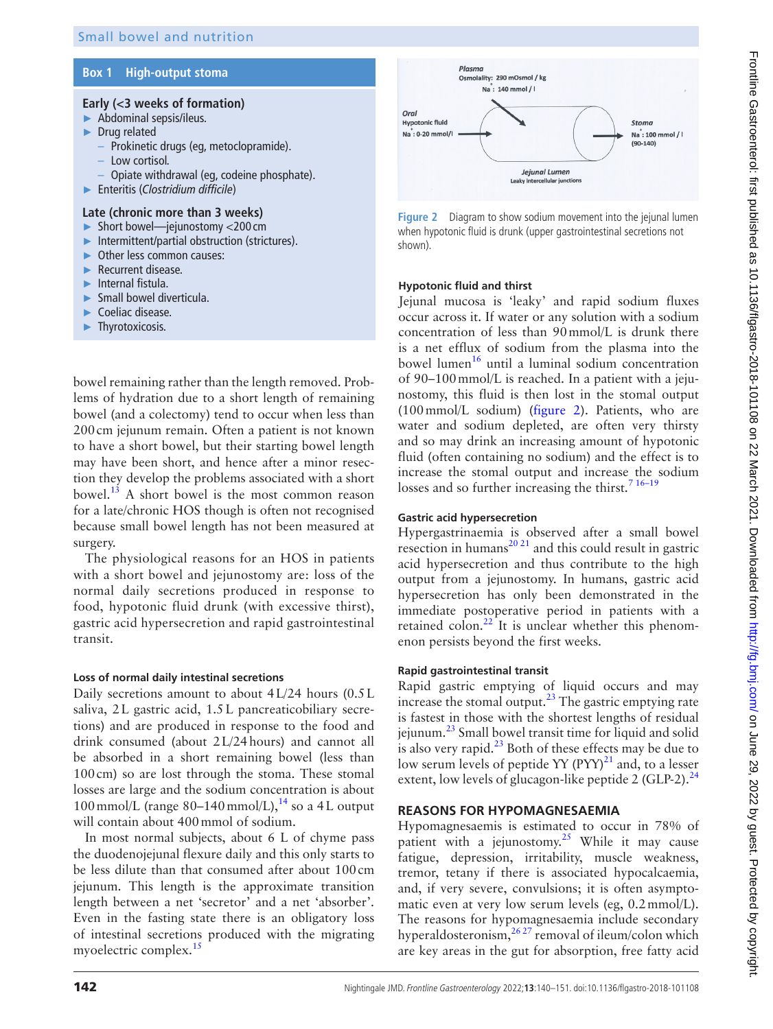## **Box 1 High-output stoma**

## <span id="page-2-0"></span>**Early (<3 weeks of formation)**

- ► Abdominal sepsis/ileus.
- ► Drug related
	- Prokinetic drugs (eg, metoclopramide).
	- Low cortisol.
	- Opiate withdrawal (eg, codeine phosphate).
- ► Enteritis (*Clostridium difficile*)

## **Late (chronic more than 3 weeks)**

- ► Short bowel—jejunostomy <200 cm
- ► Intermittent/partial obstruction (strictures).
- Other less common causes:
- ► Recurrent disease.
- ► Internal fistula.
- ► Small bowel diverticula.
- ► Coeliac disease.
- Thyrotoxicosis.

bowel remaining rather than the length removed. Problems of hydration due to a short length of remaining bowel (and a colectomy) tend to occur when less than 200cm jejunum remain. Often a patient is not known to have a short bowel, but their starting bowel length may have been short, and hence after a minor resection they develop the problems associated with a short bowel. $^{13}$  A short bowel is the most common reason for a late/chronic HOS though is often not recognised because small bowel length has not been measured at surgery.

The physiological reasons for an HOS in patients with a short bowel and jejunostomy are: loss of the normal daily secretions produced in response to food, hypotonic fluid drunk (with excessive thirst), gastric acid hypersecretion and rapid gastrointestinal transit.

#### **Loss of normal daily intestinal secretions**

Daily secretions amount to about 4L/24 hours (0.5L saliva, 2L gastric acid, 1.5L pancreaticobiliary secretions) and are produced in response to the food and drink consumed (about 2L/24hours) and cannot all be absorbed in a short remaining bowel (less than 100cm) so are lost through the stoma. These stomal losses are large and the sodium concentration is about 100 mmol/L (range  $80-140$  mmol/L), $^{14}$  so a 4L output will contain about 400mmol of sodium.

In most normal subjects, about 6 L of chyme pass the duodenojejunal flexure daily and this only starts to be less dilute than that consumed after about 100cm jejunum. This length is the approximate transition length between a net 'secretor' and a net 'absorber'. Even in the fasting state there is an obligatory loss of intestinal secretions produced with the migrating myoelectric complex.<sup>15</sup>



<span id="page-2-1"></span>**Figure 2** Diagram to show sodium movement into the jejunal lumen when hypotonic fluid is drunk (upper gastrointestinal secretions not shown).

## **Hypotonic fluid and thirst**

Jejunal mucosa is 'leaky' and rapid sodium fluxes occur across it. If water or any solution with a sodium concentration of less than 90mmol/L is drunk there is a net efflux of sodium from the plasma into the bowel lumen $16$  until a luminal sodium concentration of 90–100mmol/L is reached. In a patient with a jejunostomy, this fluid is then lost in the stomal output (100mmol/L sodium) [\(figure](#page-2-1) 2). Patients, who are water and sodium depleted, are often very thirsty and so may drink an increasing amount of hypotonic fluid (often containing no sodium) and the effect is to increase the stomal output and increase the sodium losses and so further increasing the thirst.<sup>7</sup> <sup>16-19</sup>

## **Gastric acid hypersecretion**

Hypergastrinaemia is observed after a small bowel resection in humans<sup>[20 21](#page-9-15)</sup> and this could result in gastric acid hypersecretion and thus contribute to the high output from a jejunostomy. In humans, gastric acid hypersecretion has only been demonstrated in the immediate postoperative period in patients with a retained colon.<sup>22</sup> It is unclear whether this phenomenon persists beyond the first weeks.

## **Rapid gastrointestinal transit**

Rapid gastric emptying of liquid occurs and may increase the stomal output. $^{23}$  $^{23}$  $^{23}$  The gastric emptying rate is fastest in those with the shortest lengths of residual jejunum.[23](#page-9-17) Small bowel transit time for liquid and solid is also very rapid. $^{23}$  $^{23}$  $^{23}$  Both of these effects may be due to low serum levels of peptide YY  $(PYY)^{21}$  and, to a lesser extent, low levels of glucagon-like peptide 2 (GLP-2). $^{24}$  $^{24}$  $^{24}$ 

## **REASONS FOR HYPOMAGNESAEMIA**

Hypomagnesaemis is estimated to occur in 78% of patient with a jejunostomy. $2^5$  While it may cause fatigue, depression, irritability, muscle weakness, tremor, tetany if there is associated hypocalcaemia, and, if very severe, convulsions; it is often asymptomatic even at very low serum levels (eg, 0.2mmol/L). The reasons for hypomagnesaemia include secondary hyperaldosteronism,  $^{26,27}$  removal of ileum/colon which are key areas in the gut for absorption, free fatty acid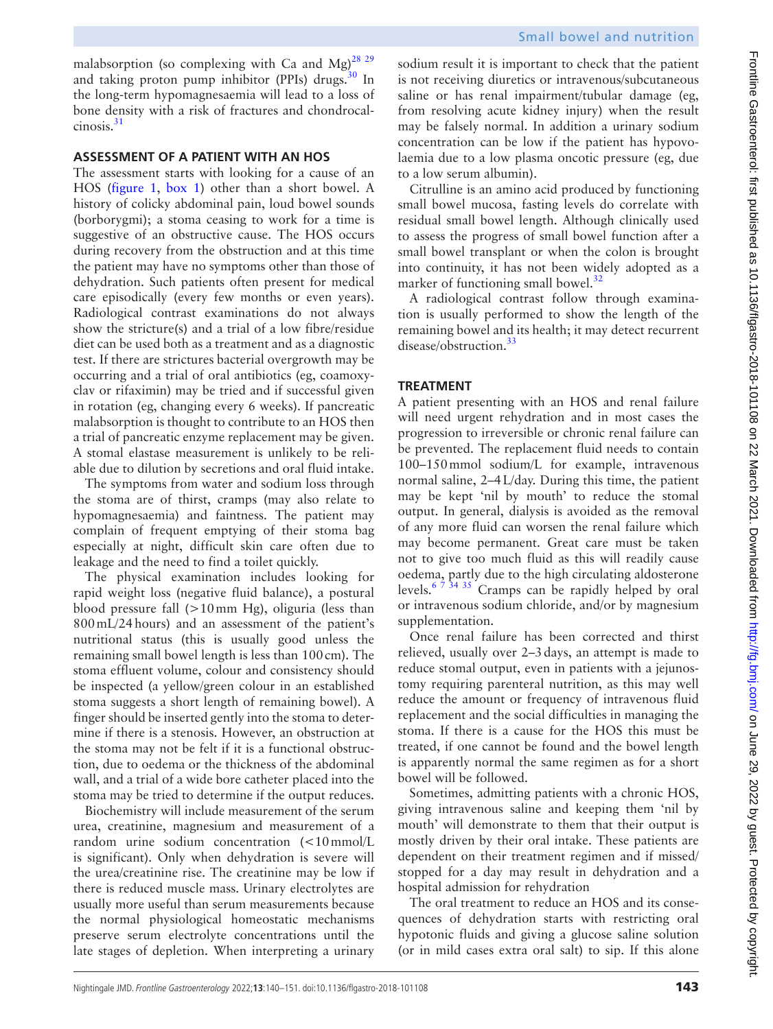malabsorption (so complexing with Ca and Mg)<sup>28</sup> <sup>29</sup> and taking proton pump inhibitor (PPIs) drugs. $30 \text{ In}$  $30 \text{ In}$ the long-term hypomagnesaemia will lead to a loss of bone density with a risk of fractures and chondrocal-cinosis.<sup>[31](#page-9-23)</sup>

## **ASSESSMENT OF A PATIENT WITH AN HOS**

The assessment starts with looking for a cause of an HOS ([figure](#page-1-0) 1, [box](#page-2-0) 1) other than a short bowel. A history of colicky abdominal pain, loud bowel sounds (borborygmi); a stoma ceasing to work for a time is suggestive of an obstructive cause. The HOS occurs during recovery from the obstruction and at this time the patient may have no symptoms other than those of dehydration. Such patients often present for medical care episodically (every few months or even years). Radiological contrast examinations do not always show the stricture(s) and a trial of a low fibre/residue diet can be used both as a treatment and as a diagnostic test. If there are strictures bacterial overgrowth may be occurring and a trial of oral antibiotics (eg, coamoxyclav or rifaximin) may be tried and if successful given in rotation (eg, changing every 6 weeks). If pancreatic malabsorption is thought to contribute to an HOS then a trial of pancreatic enzyme replacement may be given. A stomal elastase measurement is unlikely to be reliable due to dilution by secretions and oral fluid intake.

The symptoms from water and sodium loss through the stoma are of thirst, cramps (may also relate to hypomagnesaemia) and faintness. The patient may complain of frequent emptying of their stoma bag especially at night, difficult skin care often due to leakage and the need to find a toilet quickly.

The physical examination includes looking for rapid weight loss (negative fluid balance), a postural blood pressure fall (>10mm Hg), oliguria (less than 800mL/24hours) and an assessment of the patient's nutritional status (this is usually good unless the remaining small bowel length is less than 100cm). The stoma effluent volume, colour and consistency should be inspected (a yellow/green colour in an established stoma suggests a short length of remaining bowel). A finger should be inserted gently into the stoma to determine if there is a stenosis. However, an obstruction at the stoma may not be felt if it is a functional obstruction, due to oedema or the thickness of the abdominal wall, and a trial of a wide bore catheter placed into the stoma may be tried to determine if the output reduces.

Biochemistry will include measurement of the serum urea, creatinine, magnesium and measurement of a random urine sodium concentration (<10mmol/L is significant). Only when dehydration is severe will the urea/creatinine rise. The creatinine may be low if there is reduced muscle mass. Urinary electrolytes are usually more useful than serum measurements because the normal physiological homeostatic mechanisms preserve serum electrolyte concentrations until the late stages of depletion. When interpreting a urinary

sodium result it is important to check that the patient is not receiving diuretics or intravenous/subcutaneous saline or has renal impairment/tubular damage (eg, from resolving acute kidney injury) when the result may be falsely normal. In addition a urinary sodium concentration can be low if the patient has hypovolaemia due to a low plasma oncotic pressure (eg, due to a low serum albumin).

Citrulline is an amino acid produced by functioning small bowel mucosa, fasting levels do correlate with residual small bowel length. Although clinically used to assess the progress of small bowel function after a small bowel transplant or when the colon is brought into continuity, it has not been widely adopted as a marker of functioning small bowel.<sup>32</sup>

A radiological contrast follow through examination is usually performed to show the length of the remaining bowel and its health; it may detect recurrent disease/obstruction.<sup>[33](#page-9-25)</sup>

## **TREATMENT**

A patient presenting with an HOS and renal failure will need urgent rehydration and in most cases the progression to irreversible or chronic renal failure can be prevented. The replacement fluid needs to contain 100–150mmol sodium/L for example, intravenous normal saline, 2–4L/day. During this time, the patient may be kept 'nil by mouth' to reduce the stomal output. In general, dialysis is avoided as the removal of any more fluid can worsen the renal failure which may become permanent. Great care must be taken not to give too much fluid as this will readily cause oedema, partly due to the high circulating aldosterone levels.<sup>6 7 34 35</sup> Cramps can be rapidly helped by oral or intravenous sodium chloride, and/or by magnesium supplementation.

Once renal failure has been corrected and thirst relieved, usually over 2–3days, an attempt is made to reduce stomal output, even in patients with a jejunostomy requiring parenteral nutrition, as this may well reduce the amount or frequency of intravenous fluid replacement and the social difficulties in managing the stoma. If there is a cause for the HOS this must be treated, if one cannot be found and the bowel length is apparently normal the same regimen as for a short bowel will be followed.

Sometimes, admitting patients with a chronic HOS, giving intravenous saline and keeping them 'nil by mouth' will demonstrate to them that their output is mostly driven by their oral intake. These patients are dependent on their treatment regimen and if missed/ stopped for a day may result in dehydration and a hospital admission for rehydration

The oral treatment to reduce an HOS and its consequences of dehydration starts with restricting oral hypotonic fluids and giving a glucose saline solution (or in mild cases extra oral salt) to sip. If this alone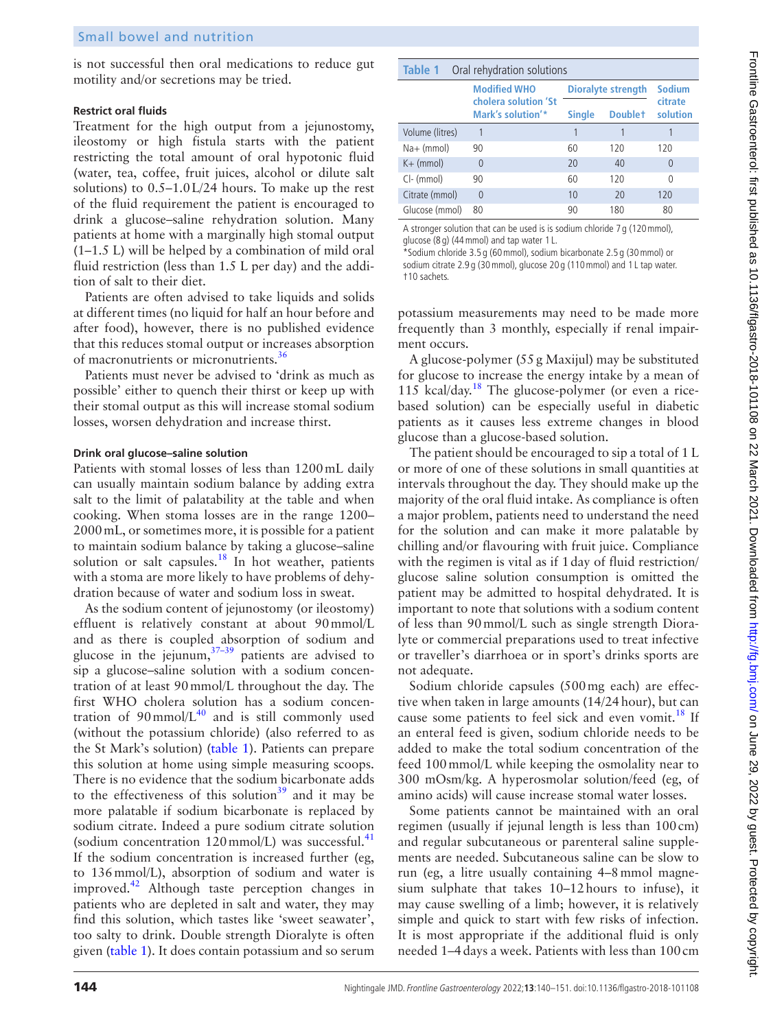is not successful then oral medications to reduce gut motility and/or secretions may be tried.

#### **Restrict oral fluids**

Treatment for the high output from a jejunostomy, ileostomy or high fistula starts with the patient restricting the total amount of oral hypotonic fluid (water, tea, coffee, fruit juices, alcohol or dilute salt solutions) to 0.5–1.0L/24 hours. To make up the rest of the fluid requirement the patient is encouraged to drink a glucose–saline rehydration solution. Many patients at home with a marginally high stomal output (1–1.5 L) will be helped by a combination of mild oral fluid restriction (less than 1.5 L per day) and the addition of salt to their diet.

Patients are often advised to take liquids and solids at different times (no liquid for half an hour before and after food), however, there is no published evidence that this reduces stomal output or increases absorption of macronutrients or micronutrients.<sup>[36](#page-9-26)</sup>

Patients must never be advised to 'drink as much as possible' either to quench their thirst or keep up with their stomal output as this will increase stomal sodium losses, worsen dehydration and increase thirst.

#### **Drink oral glucose–saline solution**

Patients with stomal losses of less than 1200mL daily can usually maintain sodium balance by adding extra salt to the limit of palatability at the table and when cooking. When stoma losses are in the range 1200– 2000mL, or sometimes more, it is possible for a patient to maintain sodium balance by taking a glucose–saline solution or salt capsules.<sup>[18](#page-9-27)</sup> In hot weather, patients with a stoma are more likely to have problems of dehydration because of water and sodium loss in sweat.

As the sodium content of jejunostomy (or ileostomy) effluent is relatively constant at about 90mmol/L and as there is coupled absorption of sodium and glucose in the jejunum,  $37-39$  patients are advised to sip a glucose–saline solution with a sodium concentration of at least 90mmol/L throughout the day. The first WHO cholera solution has a sodium concentration of  $90 \text{mmol/L}^{40}$  and is still commonly used (without the potassium chloride) (also referred to as the St Mark's solution) ([table](#page-4-0) 1). Patients can prepare this solution at home using simple measuring scoops. There is no evidence that the sodium bicarbonate adds to the effectiveness of this solution<sup>[39](#page-9-30)</sup> and it may be more palatable if sodium bicarbonate is replaced by sodium citrate. Indeed a pure sodium citrate solution (sodium concentration  $120 \text{mmol/L}$ ) was successful.<sup>41</sup> If the sodium concentration is increased further (eg, to 136mmol/L), absorption of sodium and water is improved.<sup>42</sup> Although taste perception changes in patients who are depleted in salt and water, they may find this solution, which tastes like 'sweet seawater', too salty to drink. Double strength Dioralyte is often given [\(table](#page-4-0) 1). It does contain potassium and so serum

<span id="page-4-0"></span>

| Table 1<br>Oral rehydration solutions |                                           |                    |               |                     |  |  |  |  |
|---------------------------------------|-------------------------------------------|--------------------|---------------|---------------------|--|--|--|--|
|                                       | <b>Modified WHO</b>                       | Dioralyte strength | <b>Sodium</b> |                     |  |  |  |  |
|                                       | cholera solution 'St<br>Mark's solution'* | <b>Single</b>      | Doublet       | citrate<br>solution |  |  |  |  |
| Volume (litres)                       | 1                                         | 1                  |               |                     |  |  |  |  |
| $Na+$ (mmol)                          | 90                                        | 60                 | 120           | 120                 |  |  |  |  |
| $K+$ (mmol)                           | $\Omega$                                  | 20                 | 40            | 0                   |  |  |  |  |
| CI- (mmol)                            | 90                                        | 60                 | 120           | 0                   |  |  |  |  |
| Citrate (mmol)                        | $\Omega$                                  | 10                 | 20            | 120                 |  |  |  |  |
| Glucose (mmol)                        | 80                                        | 90                 | 180           | 80                  |  |  |  |  |

A stronger solution that can be used is is sodium chloride 7 g (120mmol), glucose (8 g) (44mmol) and tap water 1 L.

\*Sodium chloride 3.5 g (60mmol), sodium bicarbonate 2.5 g (30mmol) or sodium citrate 2.9 g (30mmol), glucose 20 g (110mmol) and 1 L tap water. †10 sachets.

potassium measurements may need to be made more frequently than 3 monthly, especially if renal impairment occurs.

A glucose-polymer (55g Maxijul) may be substituted for glucose to increase the energy intake by a mean of  $115$  kcal/day.<sup>[18](#page-9-27)</sup> The glucose-polymer (or even a ricebased solution) can be especially useful in diabetic patients as it causes less extreme changes in blood glucose than a glucose-based solution.

The patient should be encouraged to sip a total of 1 L or more of one of these solutions in small quantities at intervals throughout the day. They should make up the majority of the oral fluid intake. As compliance is often a major problem, patients need to understand the need for the solution and can make it more palatable by chilling and/or flavouring with fruit juice. Compliance with the regimen is vital as if 1day of fluid restriction/ glucose saline solution consumption is omitted the patient may be admitted to hospital dehydrated. It is important to note that solutions with a sodium content of less than 90mmol/L such as single strength Dioralyte or commercial preparations used to treat infective or traveller's diarrhoea or in sport's drinks sports are not adequate.

Sodium chloride capsules (500mg each) are effective when taken in large amounts (14/24hour), but can cause some patients to feel sick and even vomit.<sup>[18](#page-9-27)</sup> If an enteral feed is given, sodium chloride needs to be added to make the total sodium concentration of the feed 100mmol/L while keeping the osmolality near to 300 mOsm/kg. A hyperosmolar solution/feed (eg, of amino acids) will cause increase stomal water losses.

Some patients cannot be maintained with an oral regimen (usually if jejunal length is less than 100cm) and regular subcutaneous or parenteral saline supplements are needed. Subcutaneous saline can be slow to run (eg, a litre usually containing 4–8mmol magnesium sulphate that takes 10–12hours to infuse), it may cause swelling of a limb; however, it is relatively simple and quick to start with few risks of infection. It is most appropriate if the additional fluid is only needed 1–4days a week. Patients with less than 100cm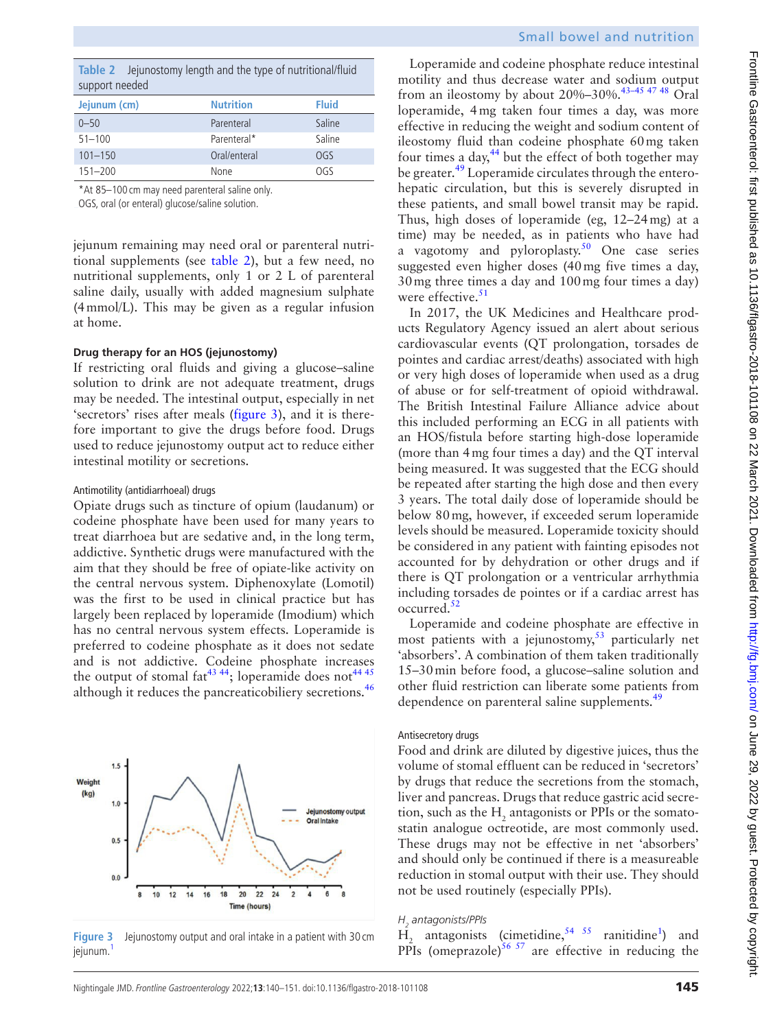<span id="page-5-0"></span>

|                |  |  | Table 2 Jejunostomy length and the type of nutritional/fluid |
|----------------|--|--|--------------------------------------------------------------|
| support needed |  |  |                                                              |

| --------------- |                  |              |
|-----------------|------------------|--------------|
| Jejunum (cm)    | <b>Nutrition</b> | <b>Fluid</b> |
| $0 - 50$        | Parenteral       | Saline       |
| $51 - 100$      | Parenteral*      | Saline       |
| $101 - 150$     | Oral/enteral     | OGS          |
| $151 - 200$     | None             | OGS          |
|                 |                  |              |

\*At 85–100 cm may need parenteral saline only.

OGS, oral (or enteral) glucose/saline solution.

jejunum remaining may need oral or parenteral nutritional supplements (see [table](#page-5-0) 2), but a few need, no nutritional supplements, only 1 or 2 L of parenteral saline daily, usually with added magnesium sulphate (4mmol/L). This may be given as a regular infusion at home.

## **Drug therapy for an HOS (jejunostomy)**

If restricting oral fluids and giving a glucose–saline solution to drink are not adequate treatment, drugs may be needed. The intestinal output, especially in net 'secretors' rises after meals [\(figure](#page-5-1) 3), and it is therefore important to give the drugs before food. Drugs used to reduce jejunostomy output act to reduce either intestinal motility or secretions.

#### Antimotility (antidiarrhoeal) drugs

Opiate drugs such as tincture of opium (laudanum) or codeine phosphate have been used for many years to treat diarrhoea but are sedative and, in the long term, addictive. Synthetic drugs were manufactured with the aim that they should be free of opiate-like activity on the central nervous system. Diphenoxylate (Lomotil) was the first to be used in clinical practice but has largely been replaced by loperamide (Imodium) which has no central nervous system effects. Loperamide is preferred to codeine phosphate as it does not sedate and is not addictive. Codeine phosphate increases the output of stomal fat<sup>43 44</sup>; loperamide does not<sup>[44 45](#page-10-2)</sup> although it reduces the pancreaticobiliery secretions.<sup>[46](#page-10-3)</sup>



<span id="page-5-1"></span>**Figure 3** Jejunostomy output and oral intake in a patient with 30 cm jejunum.

Loperamide and codeine phosphate reduce intestinal motility and thus decrease water and sodium output from an ileostomy by about 20%–30%.<sup>43-45 47 48</sup> Oral loperamide, 4mg taken four times a day, was more effective in reducing the weight and sodium content of ileostomy fluid than codeine phosphate 60mg taken four times a day, $44$  but the effect of both together may be greater.<sup>[49](#page-10-4)</sup> Loperamide circulates through the enterohepatic circulation, but this is severely disrupted in these patients, and small bowel transit may be rapid. Thus, high doses of loperamide (eg, 12–24mg) at a time) may be needed, as in patients who have had a vagotomy and pyloroplasty.<sup>50</sup> One case series suggested even higher doses (40mg five times a day, 30mg three times a day and 100mg four times a day) were effective.<sup>[51](#page-10-6)</sup>

In 2017, the UK Medicines and Healthcare products Regulatory Agency issued an alert about serious cardiovascular events (QT prolongation, torsades de pointes and cardiac arrest/deaths) associated with high or very high doses of loperamide when used as a drug of abuse or for self-treatment of opioid withdrawal. The British Intestinal Failure Alliance advice about this included performing an ECG in all patients with an HOS/fistula before starting high-dose loperamide (more than 4mg four times a day) and the QT interval being measured. It was suggested that the ECG should be repeated after starting the high dose and then every 3 years. The total daily dose of loperamide should be below 80mg, however, if exceeded serum loperamide levels should be measured. Loperamide toxicity should be considered in any patient with fainting episodes not accounted for by dehydration or other drugs and if there is QT prolongation or a ventricular arrhythmia including torsades de pointes or if a cardiac arrest has occurred.<sup>52</sup>

Loperamide and codeine phosphate are effective in most patients with a jejunostomy, $53$  particularly net 'absorbers'. A combination of them taken traditionally 15–30min before food, a glucose–saline solution and other fluid restriction can liberate some patients from dependence on parenteral saline supplements.<sup>49</sup>

#### Antisecretory drugs

Food and drink are diluted by digestive juices, thus the volume of stomal effluent can be reduced in 'secretors' by drugs that reduce the secretions from the stomach, liver and pancreas. Drugs that reduce gastric acid secretion, such as the  $H_2$  antagonists or PPIs or the somatostatin analogue octreotide, are most commonly used. These drugs may not be effective in net 'absorbers' and should only be continued if there is a measureable reduction in stomal output with their use. They should not be used routinely (especially PPIs).

## *H2 antagonists/PPIs*

 $\overline{H}_2$  antagonists (cimetidine,<sup>54 55</sup> ranitidine<sup>[1](#page-9-0)</sup>) and PPIs (omeprazole)<sup>56 57</sup> are effective in reducing the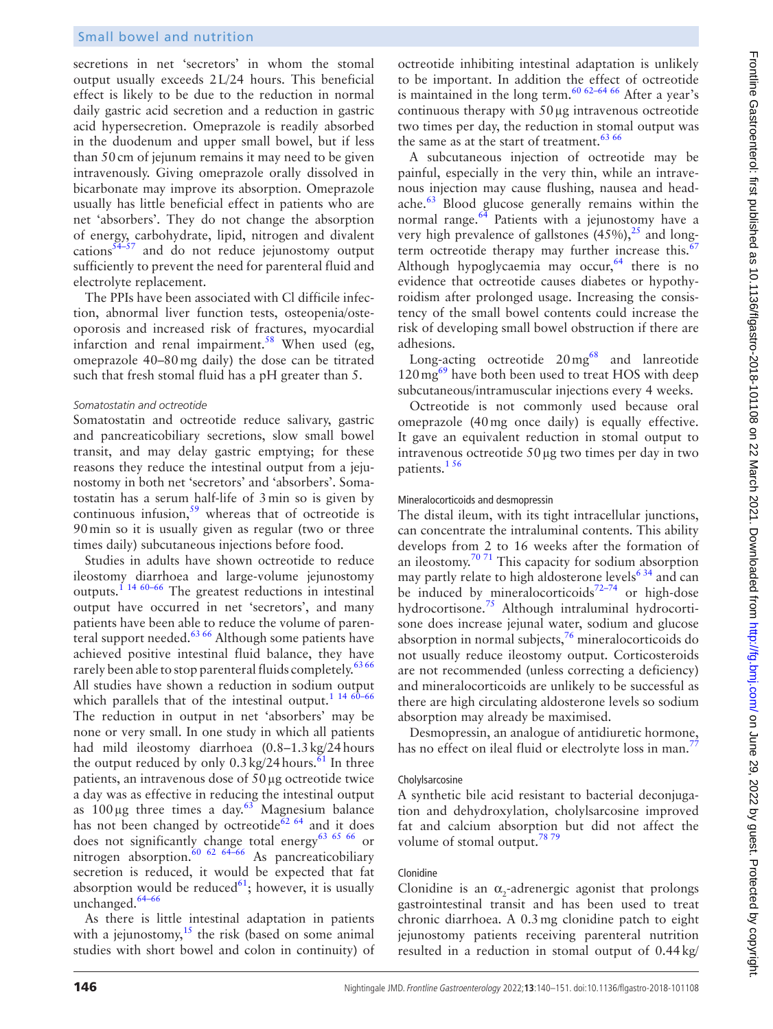secretions in net 'secretors' in whom the stomal output usually exceeds 2L/24 hours. This beneficial effect is likely to be due to the reduction in normal daily gastric acid secretion and a reduction in gastric acid hypersecretion. Omeprazole is readily absorbed in the duodenum and upper small bowel, but if less than 50cm of jejunum remains it may need to be given intravenously. Giving omeprazole orally dissolved in bicarbonate may improve its absorption. Omeprazole usually has little beneficial effect in patients who are net 'absorbers'. They do not change the absorption of energy, carbohydrate, lipid, nitrogen and divalent cations $54-57$  and do not reduce jejunostomy output sufficiently to prevent the need for parenteral fluid and electrolyte replacement.

The PPIs have been associated with Cl difficile infection, abnormal liver function tests, osteopenia/osteoporosis and increased risk of fractures, myocardial infarction and renal impairment.<sup>58</sup> When used (eg, omeprazole 40–80mg daily) the dose can be titrated such that fresh stomal fluid has a pH greater than 5.

## *Somatostatin and octreotide*

Somatostatin and octreotide reduce salivary, gastric and pancreaticobiliary secretions, slow small bowel transit, and may delay gastric emptying; for these reasons they reduce the intestinal output from a jejunostomy in both net 'secretors' and 'absorbers'. Somatostatin has a serum half-life of 3min so is given by continuous infusion,<sup>59</sup> whereas that of octreotide is 90min so it is usually given as regular (two or three times daily) subcutaneous injections before food.

Studies in adults have shown octreotide to reduce ileostomy diarrhoea and large-volume jejunostomy outputs.[1 14 60–66](#page-9-0) The greatest reductions in intestinal output have occurred in net 'secretors', and many patients have been able to reduce the volume of parenteral support needed.<sup>63 66</sup> Although some patients have achieved positive intestinal fluid balance, they have rarely been able to stop parenteral fluids completely.<sup>[63 66](#page-10-13)</sup> All studies have shown a reduction in sodium output which parallels that of the intestinal output.<sup>1</sup> <sup>14 60-66</sup> The reduction in output in net 'absorbers' may be none or very small. In one study in which all patients had mild ileostomy diarrhoea (0.8–1.3kg/24hours the output reduced by only  $0.3 \text{ kg}/24 \text{ hours}$ .<sup>61</sup> In three patients, an intravenous dose of 50µg octreotide twice a day was as effective in reducing the intestinal output as  $100 \mu$ g three times a day.<sup>63</sup> Magnesium balance has not been changed by octreotide<sup>62 64</sup> and it does does not significantly change total energy<sup>63 65</sup> 66 or nitrogen absorption.<sup>60 62 64–66</sup> As pancreaticobiliary secretion is reduced, it would be expected that fat absorption would be reduced $61$ ; however, it is usually unchanged.<sup>[64–66](#page-10-17)</sup>

As there is little intestinal adaptation in patients with a jejunostomy, $15$  the risk (based on some animal studies with short bowel and colon in continuity) of octreotide inhibiting intestinal adaptation is unlikely to be important. In addition the effect of octreotide is maintained in the long term.<sup>60 62-64 66</sup> After a year's continuous therapy with 50µg intravenous octreotide two times per day, the reduction in stomal output was the same as at the start of treatment.<sup>[63 66](#page-10-13)</sup>

A subcutaneous injection of octreotide may be painful, especially in the very thin, while an intravenous injection may cause flushing, nausea and headache.[63](#page-10-13) Blood glucose generally remains within the normal range. $64$  Patients with a jejunostomy have a very high prevalence of gallstones  $(45\%)$ ,  $^{25}$  $^{25}$  $^{25}$  and long-term octreotide therapy may further increase this.<sup>[67](#page-10-18)</sup> Although hypoglycaemia may occur,  $64$  there is no evidence that octreotide causes diabetes or hypothyroidism after prolonged usage. Increasing the consistency of the small bowel contents could increase the risk of developing small bowel obstruction if there are adhesions.

Long-acting octreotide  $20 \text{ mg}^{68}$  $20 \text{ mg}^{68}$  $20 \text{ mg}^{68}$  and lanreotide  $120 \text{ mg}^{69}$  $120 \text{ mg}^{69}$  $120 \text{ mg}^{69}$  have both been used to treat HOS with deep subcutaneous/intramuscular injections every 4 weeks.

Octreotide is not commonly used because oral omeprazole (40mg once daily) is equally effective. It gave an equivalent reduction in stomal output to intravenous octreotide 50µg two times per day in two patients.<sup>156</sup>

## Mineralocorticoids and desmopressin

The distal ileum, with its tight intracellular junctions, can concentrate the intraluminal contents. This ability develops from 2 to 16 weeks after the formation of an ileostomy.<sup>70 71</sup> This capacity for sodium absorption may partly relate to high aldosterone levels<sup>634</sup> and can be induced by mineralocorticoids<sup>72–74</sup> or high-dose hydrocortisone.[75](#page-10-23) Although intraluminal hydrocortisone does increase jejunal water, sodium and glucose absorption in normal subjects, $7<sup>6</sup>$  mineralocorticoids do not usually reduce ileostomy output. Corticosteroids are not recommended (unless correcting a deficiency) and mineralocorticoids are unlikely to be successful as there are high circulating aldosterone levels so sodium absorption may already be maximised.

Desmopressin, an analogue of antidiuretic hormone, has no effect on ileal fluid or electrolyte loss in man.<sup>7</sup>

## Cholylsarcosine

A synthetic bile acid resistant to bacterial deconjugation and dehydroxylation, cholylsarcosine improved fat and calcium absorption but did not affect the volume of stomal output.<sup>78</sup> $79$ 

## Clonidine

Clonidine is an  $\alpha_2$ -adrenergic agonist that prolongs gastrointestinal transit and has been used to treat chronic diarrhoea. A 0.3mg clonidine patch to eight jejunostomy patients receiving parenteral nutrition resulted in a reduction in stomal output of 0.44kg/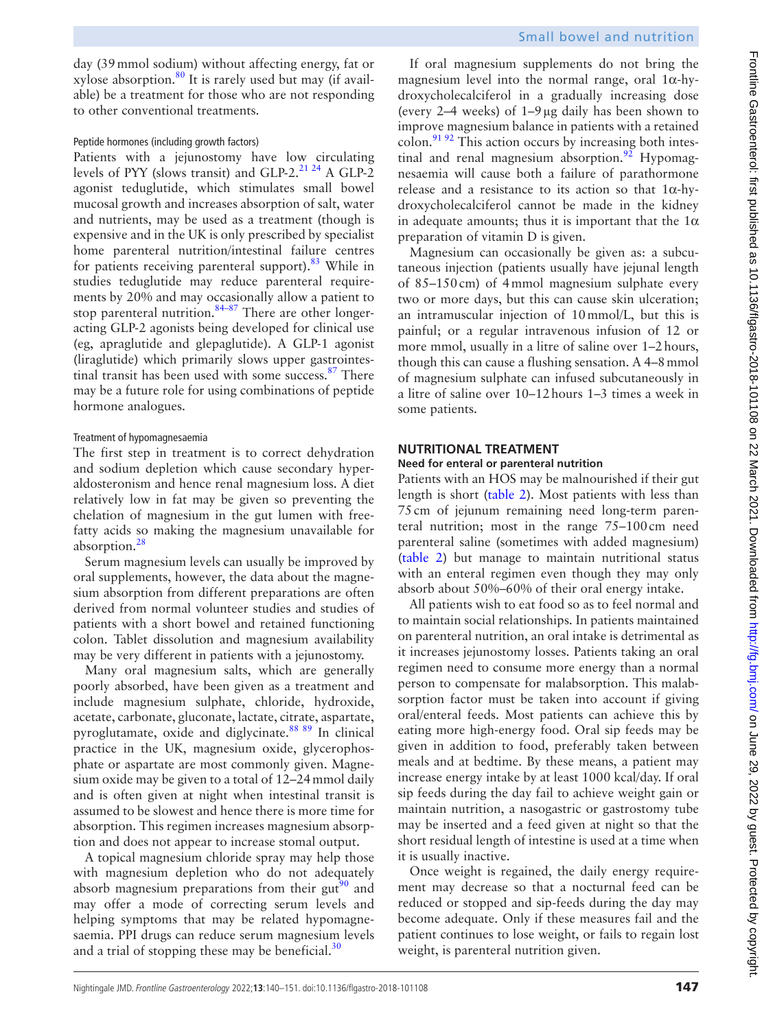day (39mmol sodium) without affecting energy, fat or xylose absorption. $80$  It is rarely used but may (if available) be a treatment for those who are not responding to other conventional treatments.

## Peptide hormones (including growth factors)

Patients with a jejunostomy have low circulating levels of PYY (slows transit) and GLP-2.[21 24](#page-9-18) A GLP-2 agonist teduglutide, which stimulates small bowel mucosal growth and increases absorption of salt, water and nutrients, may be used as a treatment (though is expensive and in the UK is only prescribed by specialist home parenteral nutrition/intestinal failure centres for patients receiving parenteral support).<sup>83</sup> While in studies teduglutide may reduce parenteral requirements by 20% and may occasionally allow a patient to stop parenteral nutrition. $84-87$  There are other longeracting GLP-2 agonists being developed for clinical use (eg, apraglutide and glepaglutide). A GLP-1 agonist (liraglutide) which primarily slows upper gastrointestinal transit has been used with some success. $87$  There may be a future role for using combinations of peptide hormone analogues.

## Treatment of hypomagnesaemia

The first step in treatment is to correct dehydration and sodium depletion which cause secondary hyperaldosteronism and hence renal magnesium loss. A diet relatively low in fat may be given so preventing the chelation of magnesium in the gut lumen with freefatty acids so making the magnesium unavailable for absorption.<sup>[28](#page-9-21)</sup>

Serum magnesium levels can usually be improved by oral supplements, however, the data about the magnesium absorption from different preparations are often derived from normal volunteer studies and studies of patients with a short bowel and retained functioning colon. Tablet dissolution and magnesium availability may be very different in patients with a jejunostomy.

Many oral magnesium salts, which are generally poorly absorbed, have been given as a treatment and include magnesium sulphate, chloride, hydroxide, acetate, carbonate, gluconate, lactate, citrate, aspartate, pyroglutamate, oxide and diglycinate[.88 89](#page-11-3) In clinical practice in the UK, magnesium oxide, glycerophosphate or aspartate are most commonly given. Magnesium oxide may be given to a total of 12–24mmol daily and is often given at night when intestinal transit is assumed to be slowest and hence there is more time for absorption. This regimen increases magnesium absorption and does not appear to increase stomal output.

A topical magnesium chloride spray may help those with magnesium depletion who do not adequately absorb magnesium preparations from their gut<sup>90</sup> and may offer a mode of correcting serum levels and helping symptoms that may be related hypomagnesaemia. PPI drugs can reduce serum magnesium levels and a trial of stopping these may be beneficial. $30$ 

If oral magnesium supplements do not bring the magnesium level into the normal range, oral  $1\alpha$ -hydroxycholecalciferol in a gradually increasing dose (every 2–4 weeks) of 1–9µg daily has been shown to improve magnesium balance in patients with a retained colon.<sup>91 92</sup> This action occurs by increasing both intestinal and renal magnesium absorption.<sup>92</sup> Hypomagnesaemia will cause both a failure of parathormone release and a resistance to its action so that 1α-hydroxycholecalciferol cannot be made in the kidney in adequate amounts; thus it is important that the  $1\alpha$ preparation of vitamin D is given.

Magnesium can occasionally be given as: a subcutaneous injection (patients usually have jejunal length of 85–150cm) of 4mmol magnesium sulphate every two or more days, but this can cause skin ulceration; an intramuscular injection of 10mmol/L, but this is painful; or a regular intravenous infusion of 12 or more mmol, usually in a litre of saline over 1–2hours, though this can cause a flushing sensation. A 4–8mmol of magnesium sulphate can infused subcutaneously in a litre of saline over 10–12hours 1–3 times a week in some patients.

#### **NUTRITIONAL TREATMENT Need for enteral or parenteral nutrition**

Patients with an HOS may be malnourished if their gut length is short [\(table](#page-5-0) 2). Most patients with less than 75cm of jejunum remaining need long-term parenteral nutrition; most in the range 75–100cm need parenteral saline (sometimes with added magnesium) [\(table](#page-5-0) 2) but manage to maintain nutritional status with an enteral regimen even though they may only absorb about 50%–60% of their oral energy intake.

All patients wish to eat food so as to feel normal and to maintain social relationships. In patients maintained on parenteral nutrition, an oral intake is detrimental as it increases jejunostomy losses. Patients taking an oral regimen need to consume more energy than a normal person to compensate for malabsorption. This malabsorption factor must be taken into account if giving oral/enteral feeds. Most patients can achieve this by eating more high-energy food. Oral sip feeds may be given in addition to food, preferably taken between meals and at bedtime. By these means, a patient may increase energy intake by at least 1000 kcal/day. If oral sip feeds during the day fail to achieve weight gain or maintain nutrition, a nasogastric or gastrostomy tube may be inserted and a feed given at night so that the short residual length of intestine is used at a time when it is usually inactive.

Once weight is regained, the daily energy requirement may decrease so that a nocturnal feed can be reduced or stopped and sip-feeds during the day may become adequate. Only if these measures fail and the patient continues to lose weight, or fails to regain lost weight, is parenteral nutrition given.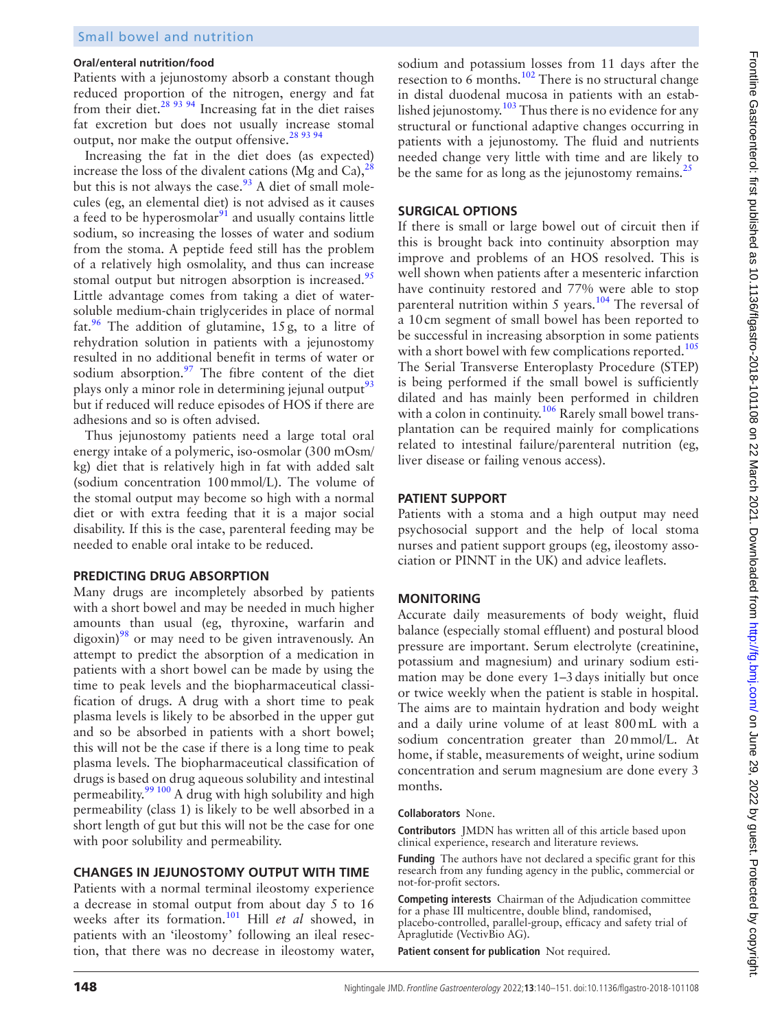#### **Oral/enteral nutrition/food**

Patients with a jejunostomy absorb a constant though reduced proportion of the nitrogen, energy and fat from their diet.[28 93 94](#page-9-21) Increasing fat in the diet raises fat excretion but does not usually increase stomal output, nor make the output offensive.<sup>[28 93 94](#page-9-21)</sup>

Increasing the fat in the diet does (as expected) increase the loss of the divalent cations (Mg and Ca), $^{28}$ but this is not always the case. $93$  A diet of small molecules (eg, an elemental diet) is not advised as it causes a feed to be hyperosmolar $91$  and usually contains little sodium, so increasing the losses of water and sodium from the stoma. A peptide feed still has the problem of a relatively high osmolality, and thus can increase stomal output but nitrogen absorption is increased.<sup>95</sup> Little advantage comes from taking a diet of watersoluble medium-chain triglycerides in place of normal fat.<sup>96</sup> The addition of glutamine, 15g, to a litre of rehydration solution in patients with a jejunostomy resulted in no additional benefit in terms of water or sodium absorption. $\frac{97}{2}$  $\frac{97}{2}$  $\frac{97}{2}$  The fibre content of the diet plays only a minor role in determining jejunal output $^{93}$  $^{93}$  $^{93}$ but if reduced will reduce episodes of HOS if there are adhesions and so is often advised.

Thus jejunostomy patients need a large total oral energy intake of a polymeric, iso-osmolar (300 mOsm/ kg) diet that is relatively high in fat with added salt (sodium concentration 100mmol/L). The volume of the stomal output may become so high with a normal diet or with extra feeding that it is a major social disability. If this is the case, parenteral feeding may be needed to enable oral intake to be reduced.

#### **PREDICTING DRUG ABSORPTION**

Many drugs are incompletely absorbed by patients with a short bowel and may be needed in much higher amounts than usual (eg, thyroxine, warfarin and  $\langle$  digoxin)<sup>98</sup> or may need to be given intravenously. An attempt to predict the absorption of a medication in patients with a short bowel can be made by using the time to peak levels and the biopharmaceutical classification of drugs. A drug with a short time to peak plasma levels is likely to be absorbed in the upper gut and so be absorbed in patients with a short bowel; this will not be the case if there is a long time to peak plasma levels. The biopharmaceutical classification of drugs is based on drug aqueous solubility and intestinal permeability. $99\frac{100}{9}$  A drug with high solubility and high permeability (class 1) is likely to be well absorbed in a short length of gut but this will not be the case for one with poor solubility and permeability.

## **CHANGES IN JEJUNOSTOMY OUTPUT WITH TIME**

Patients with a normal terminal ileostomy experience a decrease in stomal output from about day 5 to 16 weeks after its formation.<sup>101</sup> Hill *et al* showed, in patients with an 'ileostomy' following an ileal resection, that there was no decrease in ileostomy water,

sodium and potassium losses from 11 days after the resection to  $6$  months.<sup>102</sup> There is no structural change in distal duodenal mucosa in patients with an established jejunostomy.<sup>103</sup> Thus there is no evidence for any structural or functional adaptive changes occurring in patients with a jejunostomy. The fluid and nutrients needed change very little with time and are likely to be the same for as long as the jejunostomy remains.<sup>25</sup>

#### **SURGICAL OPTIONS**

If there is small or large bowel out of circuit then if this is brought back into continuity absorption may improve and problems of an HOS resolved. This is well shown when patients after a mesenteric infarction have continuity restored and 77% were able to stop parenteral nutrition within 5 years.<sup>104</sup> The reversal of a 10cm segment of small bowel has been reported to be successful in increasing absorption in some patients with a short bowel with few complications reported.<sup>[105](#page-11-17)</sup> The Serial Transverse Enteroplasty Procedure (STEP) is being performed if the small bowel is sufficiently dilated and has mainly been performed in children with a colon in continuity.<sup>106</sup> Rarely small bowel transplantation can be required mainly for complications related to intestinal failure/parenteral nutrition (eg, liver disease or failing venous access).

## **PATIENT SUPPORT**

Patients with a stoma and a high output may need psychosocial support and the help of local stoma nurses and patient support groups (eg, ileostomy association or PINNT in the UK) and advice leaflets.

## **MONITORING**

Accurate daily measurements of body weight, fluid balance (especially stomal effluent) and postural blood pressure are important. Serum electrolyte (creatinine, potassium and magnesium) and urinary sodium estimation may be done every 1–3days initially but once or twice weekly when the patient is stable in hospital. The aims are to maintain hydration and body weight and a daily urine volume of at least 800mL with a sodium concentration greater than 20mmol/L. At home, if stable, measurements of weight, urine sodium concentration and serum magnesium are done every 3 months.

#### **Collaborators** None.

**Contributors** JMDN has written all of this article based upon clinical experience, research and literature reviews.

**Funding** The authors have not declared a specific grant for this research from any funding agency in the public, commercial or not-for-profit sectors.

**Competing interests** Chairman of the Adjudication committee for a phase III multicentre, double blind, randomised, placebo-controlled, parallel-group, efficacy and safety trial of

Apraglutide (VectivBio AG).

**Patient consent for publication** Not required.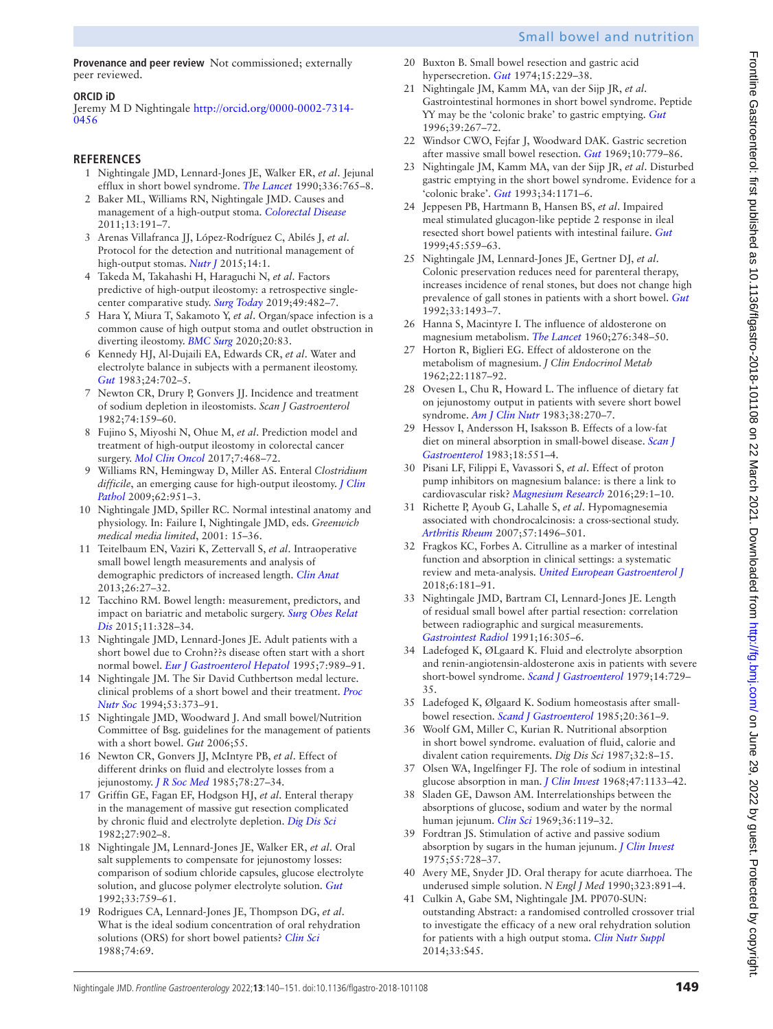**Provenance and peer review** Not commissioned; externally peer reviewed.

## **ORCID iD**

Jeremy M D Nightingale [http://orcid.org/0000-0002-7314-](http://orcid.org/0000-0002-7314-0456) [0456](http://orcid.org/0000-0002-7314-0456)

## **REFERENCES**

- <span id="page-9-0"></span>1 Nightingale JMD, Lennard-Jones JE, Walker ER, *et al*. Jejunal efflux in short bowel syndrome. *[The Lancet](http://dx.doi.org/10.1016/0140-6736(90)93238-K)* 1990;336:765–8.
- <span id="page-9-1"></span>2 Baker ML, Williams RN, Nightingale JMD. Causes and management of a high-output stoma. *[Colorectal Disease](http://dx.doi.org/10.1111/j.1463-1318.2009.02107.x)* 2011;13:191–7.
- <span id="page-9-2"></span>3 Arenas Villafranca JJ, López-Rodríguez C, Abilés J, *et al*. Protocol for the detection and nutritional management of high-output stomas. *[Nutr J](http://dx.doi.org/10.1186/s12937-015-0034-z)* 2015;14:1.
- <span id="page-9-7"></span>4 Takeda M, Takahashi H, Haraguchi N, *et al*. Factors predictive of high-output ileostomy: a retrospective singlecenter comparative study. *[Surg Today](http://dx.doi.org/10.1007/s00595-018-1756-2)* 2019;49:482–7.
- <span id="page-9-9"></span>5 Hara Y, Miura T, Sakamoto Y, *et al*. Organ/space infection is a common cause of high output stoma and outlet obstruction in diverting ileostomy. *[BMC Surg](http://dx.doi.org/10.1186/s12893-020-00734-7)* 2020;20:83.
- <span id="page-9-4"></span>6 Kennedy HJ, Al-Dujaili EA, Edwards CR, *et al*. Water and electrolyte balance in subjects with a permanent ileostomy. *[Gut](http://dx.doi.org/10.1136/gut.24.8.702)* 1983;24:702–5.
- <span id="page-9-5"></span>7 Newton CR, Drury P, Gonvers JJ. Incidence and treatment of sodium depletion in ileostomists. *Scan J Gastroenterol* 1982;74:159–60.
- <span id="page-9-6"></span>8 Fujino S, Miyoshi N, Ohue M, *et al*. Prediction model and treatment of high-output ileostomy in colorectal cancer surgery. *[Mol Clin Oncol](http://dx.doi.org/10.3892/mco.2017.1336)* 2017;7:468–72.
- <span id="page-9-8"></span>9 Williams RN, Hemingway D, Miller AS. Enteral *Clostridium difficile*, an emerging cause for high-output ileostomy. *[J Clin](http://dx.doi.org/10.1136/jcp.2008.062901)  [Pathol](http://dx.doi.org/10.1136/jcp.2008.062901)* 2009;62:951–3.
- <span id="page-9-10"></span>10 Nightingale JMD, Spiller RC. Normal intestinal anatomy and physiology. In: Failure I, Nightingale JMD, eds. *Greenwich medical media limited*, 2001: 15–36.
- 11 Teitelbaum EN, Vaziri K, Zettervall S, *et al*. Intraoperative small bowel length measurements and analysis of demographic predictors of increased length. *[Clin Anat](http://dx.doi.org/10.1002/ca.22238)* 2013;26:27–32.
- 12 Tacchino RM. Bowel length: measurement, predictors, and impact on bariatric and metabolic surgery. *[Surg Obes Relat](http://dx.doi.org/10.1016/j.soard.2014.09.016)  [Dis](http://dx.doi.org/10.1016/j.soard.2014.09.016)* 2015;11:328–34.
- <span id="page-9-11"></span>13 Nightingale JMD, Lennard-Jones JE. Adult patients with a short bowel due to Crohn??s disease often start with a short normal bowel. *[Eur J Gastroenterol Hepatol](http://dx.doi.org/10.1097/00042737-199510000-00015)* 1995;7:989–91.
- <span id="page-9-12"></span>14 Nightingale JM. The Sir David Cuthbertson medal lecture. clinical problems of a short bowel and their treatment. *[Proc](http://dx.doi.org/10.1079/pns19940043)  [Nutr Soc](http://dx.doi.org/10.1079/pns19940043)* 1994;53:373–91.
- <span id="page-9-13"></span>15 Nightingale JMD, Woodward J. And small bowel/Nutrition Committee of Bsg. guidelines for the management of patients with a short bowel. *Gut* 2006;55.
- <span id="page-9-14"></span>16 Newton CR, Gonvers JJ, McIntyre PB, *et al*. Effect of different drinks on fluid and electrolyte losses from a jejunostomy. *[J R Soc Med](http://www.ncbi.nlm.nih.gov/pubmed/3968667)* 1985;78:27–34.
- 17 Griffin GE, Fagan EF, Hodgson HJ, *et al*. Enteral therapy in the management of massive gut resection complicated by chronic fluid and electrolyte depletion. *[Dig Dis Sci](http://dx.doi.org/10.1007/BF01316574)* 1982;27:902–8.
- <span id="page-9-27"></span>18 Nightingale JM, Lennard-Jones JE, Walker ER, *et al*. Oral salt supplements to compensate for jejunostomy losses: comparison of sodium chloride capsules, glucose electrolyte solution, and glucose polymer electrolyte solution. *[Gut](http://dx.doi.org/10.1136/gut.33.6.759)* 1992;33:759–61.
- 19 Rodrigues CA, Lennard-Jones JE, Thompson DG, *et al*. What is the ideal sodium concentration of oral rehydration solutions (ORS) for short bowel patients? *[Clin Sci](http://dx.doi.org/10.1042/cs074069Pa)* 1988;74:69.
- <span id="page-9-15"></span>20 Buxton B. Small bowel resection and gastric acid hypersecretion. *[Gut](http://dx.doi.org/10.1136/gut.15.3.229)* 1974;15:229–38.
- <span id="page-9-18"></span>21 Nightingale JM, Kamm MA, van der Sijp JR, *et al*. Gastrointestinal hormones in short bowel syndrome. Peptide YY may be the 'colonic brake' to gastric emptying. *[Gut](http://dx.doi.org/10.1136/gut.39.2.267)* 1996;39:267–72.
- <span id="page-9-16"></span>22 Windsor CWO, Fejfar J, Woodward DAK. Gastric secretion after massive small bowel resection. *[Gut](http://dx.doi.org/10.1136/gut.10.10.779)* 1969;10:779–86.
- <span id="page-9-17"></span>23 Nightingale JM, Kamm MA, van der Sijp JR, *et al*. Disturbed gastric emptying in the short bowel syndrome. Evidence for a 'colonic brake'. *[Gut](http://dx.doi.org/10.1136/gut.34.9.1171)* 1993;34:1171–6.
- <span id="page-9-19"></span>24 Jeppesen PB, Hartmann B, Hansen BS, *et al*. Impaired meal stimulated glucagon-like peptide 2 response in ileal resected short bowel patients with intestinal failure. *[Gut](http://dx.doi.org/10.1136/gut.45.4.559)* 1999;45:559–63.
- <span id="page-9-3"></span>25 Nightingale JM, Lennard-Jones JE, Gertner DJ, *et al*. Colonic preservation reduces need for parenteral therapy, increases incidence of renal stones, but does not change high prevalence of gall stones in patients with a short bowel. *[Gut](http://dx.doi.org/10.1136/gut.33.11.1493)* 1992;33:1493–7.
- <span id="page-9-20"></span>26 Hanna S, Macintyre I. The influence of aldosterone on magnesium metabolism. *[The Lancet](http://dx.doi.org/10.1016/S0140-6736(60)91487-2)* 1960;276:348–50.
- 27 Horton R, Biglieri EG. Effect of aldosterone on the metabolism of magnesium. *J Clin Endocrinol Metab* 1962;22:1187–92.
- <span id="page-9-21"></span>28 Ovesen L, Chu R, Howard L. The influence of dietary fat on jejunostomy output in patients with severe short bowel syndrome. *[Am J Clin Nutr](http://dx.doi.org/10.1093/ajcn/38.2.270)* 1983;38:270–7.
- 29 Hessov I, Andersson H, Isaksson B. Effects of a low-fat diet on mineral absorption in small-bowel disease. *[Scan J](http://dx.doi.org/10.3109/00365528309181636)  [Gastroenterol](http://dx.doi.org/10.3109/00365528309181636)* 1983;18:551–4.
- <span id="page-9-22"></span>30 Pisani LF, Filippi E, Vavassori S, *et al*. Effect of proton pump inhibitors on magnesium balance: is there a link to cardiovascular risk? *[Magnesium Research](http://dx.doi.org/10.1684/mrh.2016.0397)* 2016;29:1–10.
- <span id="page-9-23"></span>31 Richette P, Ayoub G, Lahalle S, *et al*. Hypomagnesemia associated with chondrocalcinosis: a cross-sectional study. *[Arthritis Rheum](http://dx.doi.org/10.1002/art.23106)* 2007;57:1496–501.
- <span id="page-9-24"></span>32 Fragkos KC, Forbes A. Citrulline as a marker of intestinal function and absorption in clinical settings: a systematic review and meta-analysis. *[United European Gastroenterol J](http://dx.doi.org/10.1177/2050640617737632)* 2018;6:181–91.
- <span id="page-9-25"></span>33 Nightingale JMD, Bartram CI, Lennard-Jones JE. Length of residual small bowel after partial resection: correlation between radiographic and surgical measurements. *[Gastrointest Radiol](http://dx.doi.org/10.1007/BF01887374)* 1991;16:305–6.
- 34 Ladefoged K, ØLgaard K. Fluid and electrolyte absorption and renin-angiotensin-aldosterone axis in patients with severe short-bowel syndrome. *[Scand J Gastroenterol](http://dx.doi.org/10.3109/00365527909181945)* 1979;14:729– 35.
- 35 Ladefoged K, Ølgaard K. Sodium homeostasis after smallbowel resection. *[Scand J Gastroenterol](http://dx.doi.org/10.3109/00365528509091665)* 1985;20:361–9.
- <span id="page-9-26"></span>36 Woolf GM, Miller C, Kurian R. Nutritional absorption in short bowel syndrome. evaluation of fluid, calorie and divalent cation requirements. *Dig Dis Sci* 1987;32:8–15.
- <span id="page-9-28"></span>37 Olsen WA, Ingelfinger FJ. The role of sodium in intestinal glucose absorption in man. *[J Clin Invest](http://dx.doi.org/10.1172/JCI105802)* 1968;47:1133–42.
- 38 Sladen GE, Dawson AM. Interrelationships between the absorptions of glucose, sodium and water by the normal human jejunum. *[Clin Sci](http://www.ncbi.nlm.nih.gov/pubmed/5783796)* 1969;36:119–32.
- <span id="page-9-30"></span>39 Fordtran JS. Stimulation of active and passive sodium absorption by sugars in the human jejunum. *[J Clin Invest](http://dx.doi.org/10.1172/JCI107983)* 1975;55:728–37.
- <span id="page-9-29"></span>40 Avery ME, Snyder JD. Oral therapy for acute diarrhoea. The underused simple solution. *N Engl J Med* 1990;323:891–4.
- <span id="page-9-31"></span>41 Culkin A, Gabe SM, Nightingale JM. PP070-SUN: outstanding Abstract: a randomised controlled crossover trial to investigate the efficacy of a new oral rehydration solution for patients with a high output stoma. *[Clin Nutr Suppl](http://dx.doi.org/10.1016/S0261-5614(14)50112-4)* 2014;33:S45.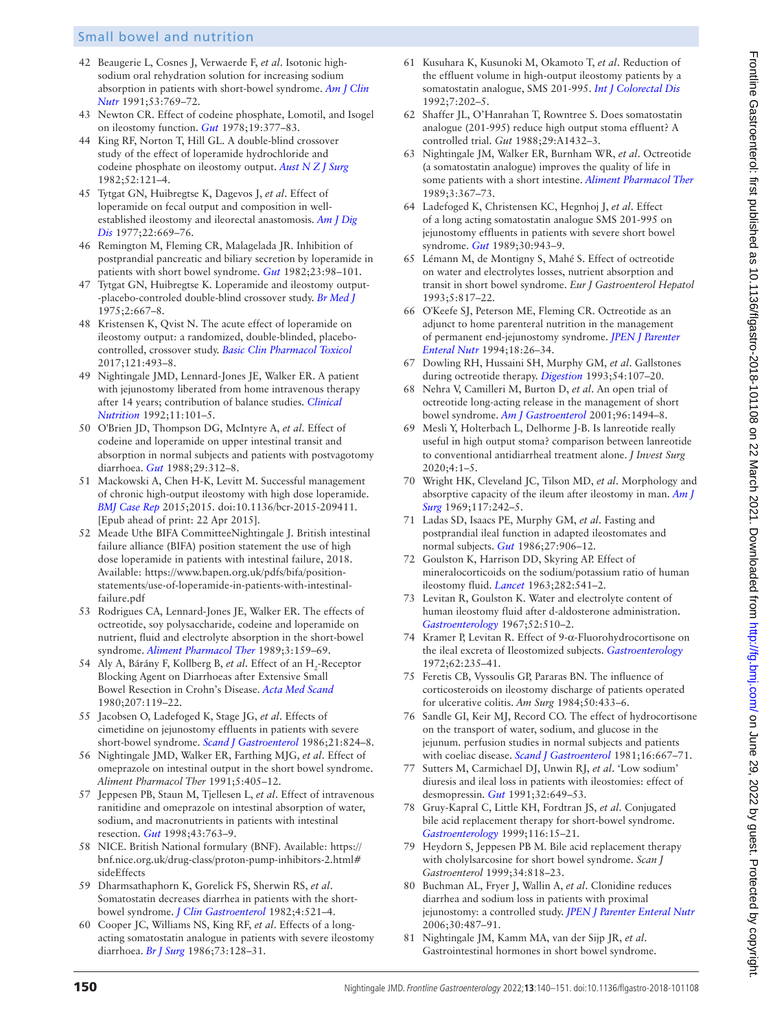- <span id="page-10-0"></span>42 Beaugerie L, Cosnes J, Verwaerde F, *et al*. Isotonic highsodium oral rehydration solution for increasing sodium absorption in patients with short-bowel syndrome. *[Am J Clin](http://dx.doi.org/10.1093/ajcn/53.3.769)  [Nutr](http://dx.doi.org/10.1093/ajcn/53.3.769)* 1991;53:769–72.
- <span id="page-10-1"></span>43 Newton CR. Effect of codeine phosphate, Lomotil, and Isogel on ileostomy function. *[Gut](http://dx.doi.org/10.1136/gut.19.5.377)* 1978;19:377–83.
- <span id="page-10-2"></span>44 King RF, Norton T, Hill GL. A double-blind crossover study of the effect of loperamide hydrochloride and codeine phosphate on ileostomy output. *[Aust N Z J Surg](http://dx.doi.org/10.1111/j.1445-2197.1982.tb06083.x)* 1982;52:121–4.
- 45 Tytgat GN, Huibregtse K, Dagevos J, *et al*. Effect of loperamide on fecal output and composition in wellestablished ileostomy and ileorectal anastomosis. *[Am J Dig](http://dx.doi.org/10.1007/BF01078345)  [Dis](http://dx.doi.org/10.1007/BF01078345)* 1977;22:669–76.
- <span id="page-10-3"></span>46 Remington M, Fleming CR, Malagelada JR. Inhibition of postprandial pancreatic and biliary secretion by loperamide in patients with short bowel syndrome. *[Gut](http://dx.doi.org/10.1136/gut.23.2.98)* 1982;23:98–101.
- 47 Tytgat GN, Huibregtse K. Loperamide and ileostomy output- -placebo-controled double-blind crossover study. *[Br Med J](http://dx.doi.org/10.1136/bmj.2.5972.667)* 1975;2:667–8.
- 48 Kristensen K, Qvist N. The acute effect of loperamide on ileostomy output: a randomized, double-blinded, placebocontrolled, crossover study. *[Basic Clin Pharmacol Toxicol](http://dx.doi.org/10.1111/bcpt.12830)* 2017;121:493–8.
- <span id="page-10-4"></span>49 Nightingale JMD, Lennard-Jones JE, Walker ER. A patient with jejunostomy liberated from home intravenous therapy after 14 years; contribution of balance studies. *[Clinical](http://dx.doi.org/10.1016/0261-5614(92)90019-M)  [Nutrition](http://dx.doi.org/10.1016/0261-5614(92)90019-M)* 1992;11:101–5.
- <span id="page-10-5"></span>50 O'Brien JD, Thompson DG, McIntyre A, *et al*. Effect of codeine and loperamide on upper intestinal transit and absorption in normal subjects and patients with postvagotomy diarrhoea. *[Gut](http://dx.doi.org/10.1136/gut.29.3.312)* 1988;29:312–8.
- <span id="page-10-6"></span>51 Mackowski A, Chen H-K, Levitt M. Successful management of chronic high-output ileostomy with high dose loperamide. *[BMJ Case Rep](http://dx.doi.org/10.1136/bcr-2015-209411)* 2015;2015. doi:10.1136/bcr-2015-209411. [Epub ahead of print: 22 Apr 2015].
- <span id="page-10-7"></span>52 Meade Uthe BIFA CommitteeNightingale J. British intestinal failure alliance (BIFA) position statement the use of high dose loperamide in patients with intestinal failure, 2018. Available: [https://www.bapen.org.uk/pdfs/bifa/position](https://www.bapen.org.uk/pdfs/bifa/position-statements/use-of-loperamide-in-patients-with-intestinal-failure.pdf)[statements/use-of-loperamide-in-patients-with-intestinal](https://www.bapen.org.uk/pdfs/bifa/position-statements/use-of-loperamide-in-patients-with-intestinal-failure.pdf)[failure.pdf](https://www.bapen.org.uk/pdfs/bifa/position-statements/use-of-loperamide-in-patients-with-intestinal-failure.pdf)
- <span id="page-10-8"></span>53 Rodrigues CA, Lennard-Jones JE, Walker ER. The effects of octreotide, soy polysaccharide, codeine and loperamide on nutrient, fluid and electrolyte absorption in the short-bowel syndrome. *[Aliment Pharmacol Ther](http://dx.doi.org/10.1111/j.1365-2036.1989.tb00202.x)* 1989;3:159–69.
- <span id="page-10-9"></span>54 Aly A, Bárány F, Kollberg B, *et al*. Effect of an H<sub>2</sub>-Receptor Blocking Agent on Diarrhoeas after Extensive Small Bowel Resection in Crohn's Disease. *[Acta Med Scand](http://dx.doi.org/10.1111/j.0954-6820.1980.tb09688.x)* 1980;207:119–22.
- 55 Jacobsen O, Ladefoged K, Stage JG, *et al*. Effects of cimetidine on jejunostomy effluents in patients with severe short-bowel syndrome. *[Scand J Gastroenterol](http://dx.doi.org/10.3109/00365528609011125)* 1986;21:824–8.
- <span id="page-10-10"></span>56 Nightingale JMD, Walker ER, Farthing MJG, *et al*. Effect of omeprazole on intestinal output in the short bowel syndrome. *Aliment Pharmacol Ther* 1991;5:405–12.
- 57 Jeppesen PB, Staun M, Tjellesen L, *et al*. Effect of intravenous ranitidine and omeprazole on intestinal absorption of water, sodium, and macronutrients in patients with intestinal resection. *[Gut](http://dx.doi.org/10.1136/gut.43.6.763)* 1998;43:763–9.
- <span id="page-10-11"></span>58 NICE. British National formulary (BNF). Available: [https://](https://bnf.nice.org.uk/drug-class/proton-pump-inhibitors-2.html#sideEffects) [bnf.nice.org.uk/drug-class/proton-pump-inhibitors-2.html#](https://bnf.nice.org.uk/drug-class/proton-pump-inhibitors-2.html#sideEffects) [sideEffects](https://bnf.nice.org.uk/drug-class/proton-pump-inhibitors-2.html#sideEffects)
- <span id="page-10-12"></span>59 Dharmsathaphorn K, Gorelick FS, Sherwin RS, *et al*. Somatostatin decreases diarrhea in patients with the shortbowel syndrome. *[J Clin Gastroenterol](http://dx.doi.org/10.1097/00004836-198212000-00008)* 1982;4:521–4.
- <span id="page-10-16"></span>60 Cooper JC, Williams NS, King RF, *et al*. Effects of a longacting somatostatin analogue in patients with severe ileostomy diarrhoea. *[Br J Surg](http://dx.doi.org/10.1002/bjs.1800730219)* 1986;73:128–31.
- <span id="page-10-14"></span>61 Kusuhara K, Kusunoki M, Okamoto T, *et al*. Reduction of the effluent volume in high-output ileostomy patients by a somatostatin analogue, SMS 201-995. *[Int J Colorectal Dis](http://dx.doi.org/10.1007/BF00341221)* 1992;7:202–5.
- <span id="page-10-15"></span>62 Shaffer JL, O'Hanrahan T, Rowntree S. Does somatostatin analogue (201-995) reduce high output stoma effluent? A controlled trial. *Gut* 1988;29:A1432–3.
- <span id="page-10-13"></span>63 Nightingale JM, Walker ER, Burnham WR, *et al*. Octreotide (a somatostatin analogue) improves the quality of life in some patients with a short intestine. *[Aliment Pharmacol Ther](http://dx.doi.org/10.1111/j.1365-2036.1989.tb00223.x)* 1989;3:367–73.
- <span id="page-10-17"></span>64 Ladefoged K, Christensen KC, Hegnhoj J, *et al*. Effect of a long acting somatostatin analogue SMS 201-995 on jejunostomy effluents in patients with severe short bowel syndrome. *[Gut](http://dx.doi.org/10.1136/gut.30.7.943)* 1989;30:943–9.
- 65 Lémann M, de Montigny S, Mahé S. Effect of octreotide on water and electrolytes losses, nutrient absorption and transit in short bowel syndrome. *Eur J Gastroenterol Hepatol* 1993;5:817–22.
- 66 O'Keefe SJ, Peterson ME, Fleming CR. Octreotide as an adjunct to home parenteral nutrition in the management of permanent end-jejunostomy syndrome. *[JPEN J Parenter](http://dx.doi.org/10.1177/014860719401800102)  [Enteral Nutr](http://dx.doi.org/10.1177/014860719401800102)* 1994;18:26–34.
- <span id="page-10-18"></span>67 Dowling RH, Hussaini SH, Murphy GM, *et al*. Gallstones during octreotide therapy. *[Digestion](http://dx.doi.org/10.1159/000201088)* 1993;54:107–20.
- <span id="page-10-19"></span>68 Nehra V, Camilleri M, Burton D, *et al*. An open trial of octreotide long-acting release in the management of short bowel syndrome. *[Am J Gastroenterol](http://dx.doi.org/10.1111/j.1572-0241.2001.03803.x)* 2001;96:1494–8.
- <span id="page-10-20"></span>69 Mesli Y, Holterbach L, Delhorme J-B. Is lanreotide really useful in high output stoma? comparison between lanreotide to conventional antidiarrheal treatment alone. *J Invest Surg* 2020;4:1–5.
- <span id="page-10-21"></span>70 Wright HK, Cleveland JC, Tilson MD, *et al*. Morphology and absorptive capacity of the ileum after ileostomy in man. *[Am J](http://dx.doi.org/10.1016/0002-9610(69)90310-9)  [Surg](http://dx.doi.org/10.1016/0002-9610(69)90310-9)* 1969;117:242–5.
- 71 Ladas SD, Isaacs PE, Murphy GM, *et al*. Fasting and postprandial ileal function in adapted ileostomates and normal subjects. *[Gut](http://dx.doi.org/10.1136/gut.27.8.906)* 1986;27:906–12.
- <span id="page-10-22"></span>72 Goulston K, Harrison DD, Skyring AP. Effect of mineralocorticoids on the sodium/potassium ratio of human ileostomy fluid. *[Lancet](http://dx.doi.org/10.1016/S0140-6736(63)92640-0)* 1963;282:541–2.
- 73 Levitan R, Goulston K. Water and electrolyte content of human ileostomy fluid after d-aldosterone administration. *[Gastroenterology](http://dx.doi.org/10.1016/S0016-5085(67)80178-1)* 1967;52:510–2.
- 74 Kramer P, Levitan R. Effect of 9-α-Fluorohydrocortisone on the ileal excreta of Ileostomized subjects. *[Gastroenterology](http://dx.doi.org/10.1016/S0016-5085(72)80174-4)* 1972;62:235–41.
- <span id="page-10-23"></span>75 Feretis CB, Vyssoulis GP, Pararas BN. The influence of corticosteroids on ileostomy discharge of patients operated for ulcerative colitis. *Am Surg* 1984;50:433–6.
- <span id="page-10-24"></span>76 Sandle GI, Keir MJ, Record CO. The effect of hydrocortisone on the transport of water, sodium, and glucose in the jejunum. perfusion studies in normal subjects and patients with coeliac disease. *[Scand J Gastroenterol](http://dx.doi.org/10.3109/00365528109182028)* 1981;16:667–71.
- <span id="page-10-25"></span>77 Sutters M, Carmichael DJ, Unwin RJ, *et al*. 'Low sodium' diuresis and ileal loss in patients with ileostomies: effect of desmopressin. *[Gut](http://dx.doi.org/10.1136/gut.32.6.649)* 1991;32:649–53.
- <span id="page-10-26"></span>78 Gruy-Kapral C, Little KH, Fordtran JS, *et al*. Conjugated bile acid replacement therapy for short-bowel syndrome. *[Gastroenterology](http://dx.doi.org/10.1016/S0016-5085(99)70223-4)* 1999;116:15–21.
- 79 Heydorn S, Jeppesen PB M. Bile acid replacement therapy with cholylsarcosine for short bowel syndrome. *Scan J Gastroenterol* 1999;34:818–23.
- <span id="page-10-27"></span>80 Buchman AL, Fryer J, Wallin A, *et al*. Clonidine reduces diarrhea and sodium loss in patients with proximal jejunostomy: a controlled study. *[JPEN J Parenter Enteral Nutr](http://dx.doi.org/10.1177/0148607106030006487)* 2006;30:487–91.
- 81 Nightingale JM, Kamm MA, van der Sijp JR, *et al*. Gastrointestinal hormones in short bowel syndrome.